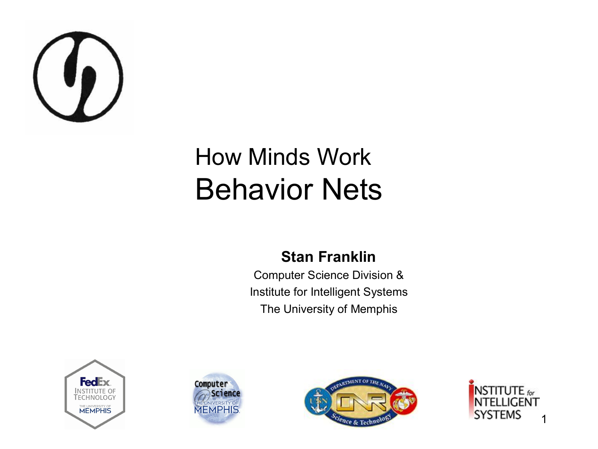

#### How Minds Work Behavior Nets

#### **Stan Franklin**

Computer Science Division & Institute for Intelligent Systems The University of Memphis







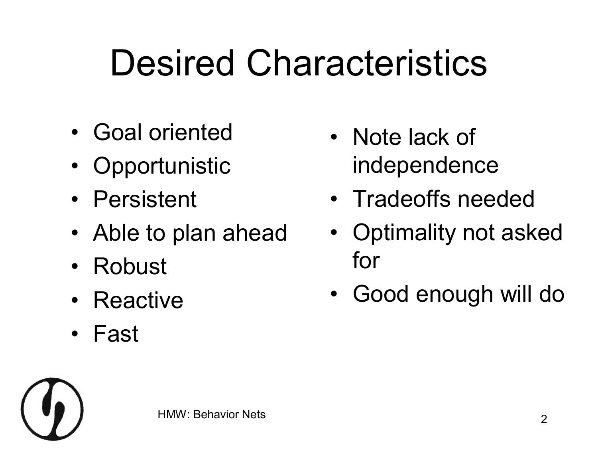# Desired Characteristics

- Goal oriented
- Opportunistic
- Persistent
- Able to plan ahead
- Robust
- Reactive
- Fast
- Note lack of independence
- Tradeoffs needed
- Optimality not asked for
- Good enough will do

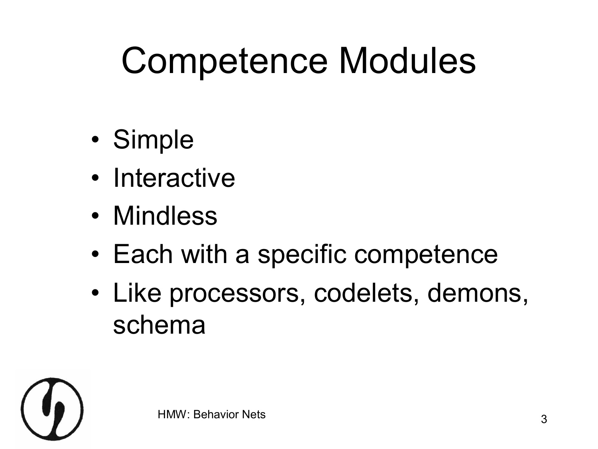### Competence Modules

- Simple
- Interactive
- Mindless
- Each with a specific competence
- Like processors, codelets, demons, schema

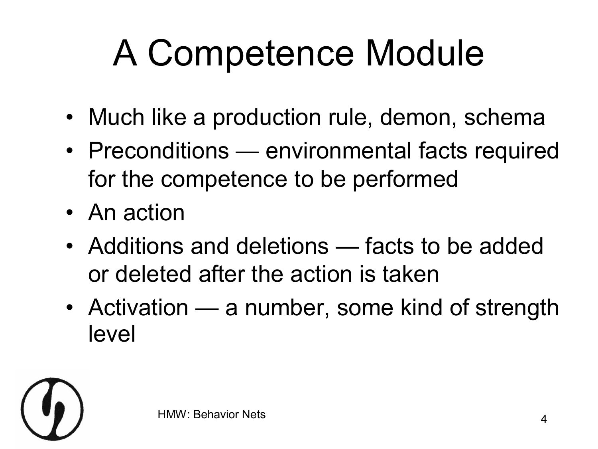# A Competence Module

- Much like a production rule, demon, schema
- Preconditions environmental facts required for the competence to be performed
- An action
- Additions and deletions facts to be added or deleted after the action is taken
- Activation a number, some kind of strength level

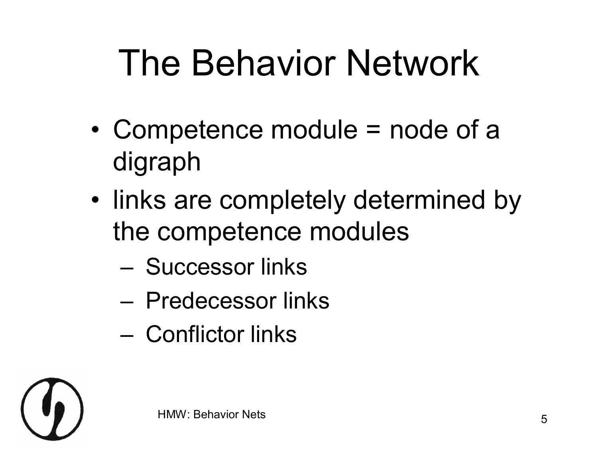# The Behavior Network

- Competence module = node of a digraph
- links are completely determined by the competence modules
	- Successor links
	- Predecessor links
	- Conflictor links

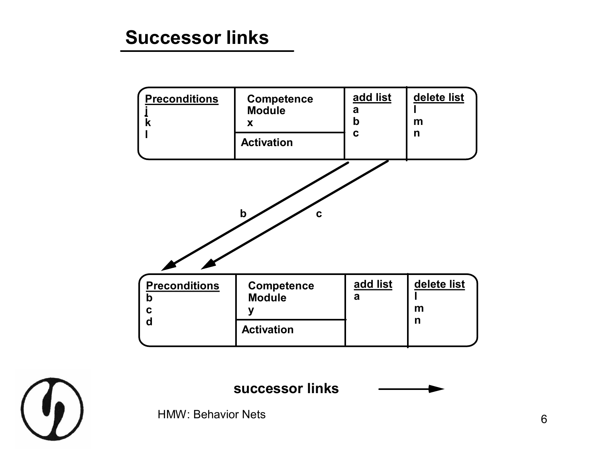



**successor links**

HMW: Behavior Nets 6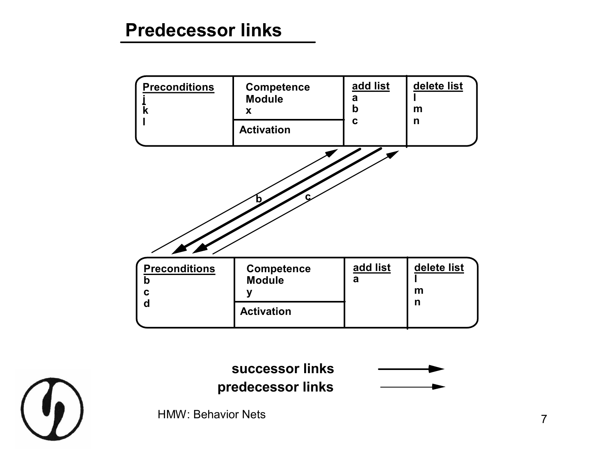#### **Predecessor links**



**successor links**

**predecessor links**



HMW: Behavior Nets 7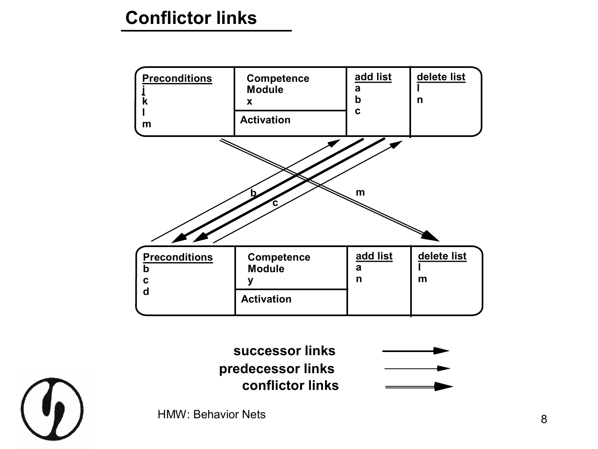#### **Conflictor links**





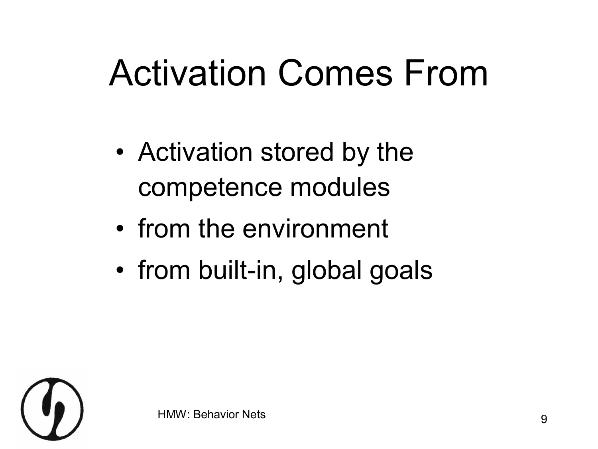#### Activation Comes From

- Activation stored by the competence modules
- from the environment
- from built-in, global goals

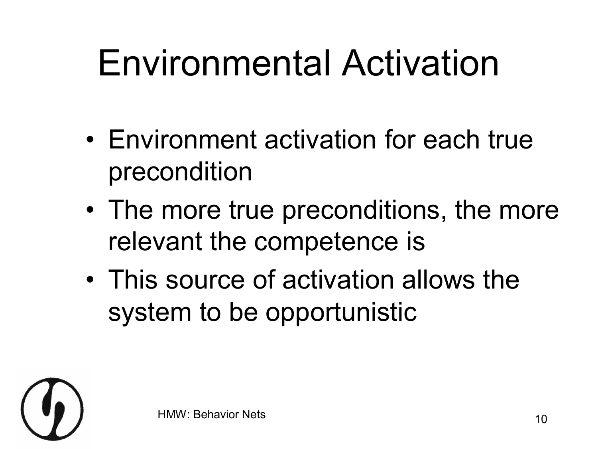# Environmental Activation

- Environment activation for each true precondition
- The more true preconditions, the more relevant the competence is
- This source of activation allows the system to be opportunistic

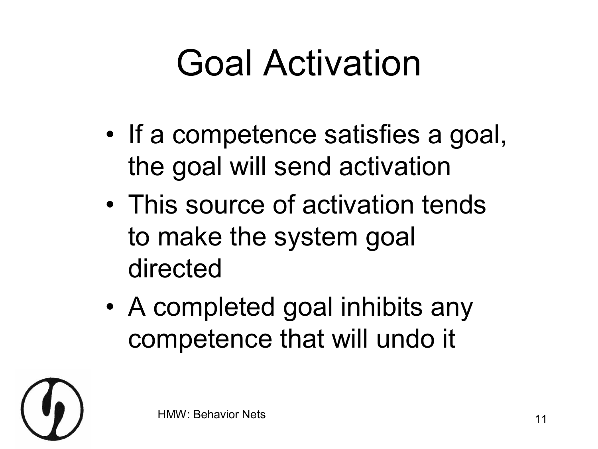### Goal Activation

- If a competence satisfies a goal, the goal will send activation
- This source of activation tends to make the system goal directed
- A completed goal inhibits any competence that will undo it

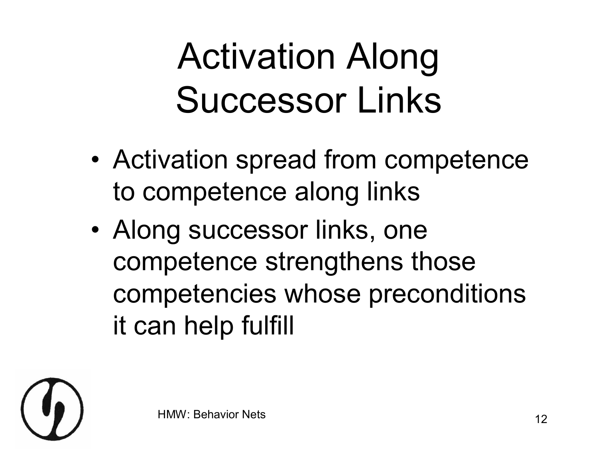# Activation Along Successor Links

- Activation spread from competence to competence along links
- Along successor links, one competence strengthens those competencies whose preconditions it can help fulfill

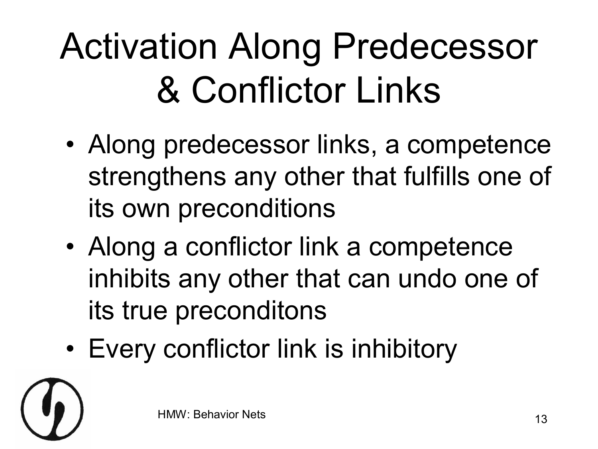# Activation Along Predecessor & Conflictor Links

- Along predecessor links, a competence strengthens any other that fulfills one of its own preconditions
- Along a conflictor link a competence inhibits any other that can undo one of its true preconditons
- Every conflictor link is inhibitory

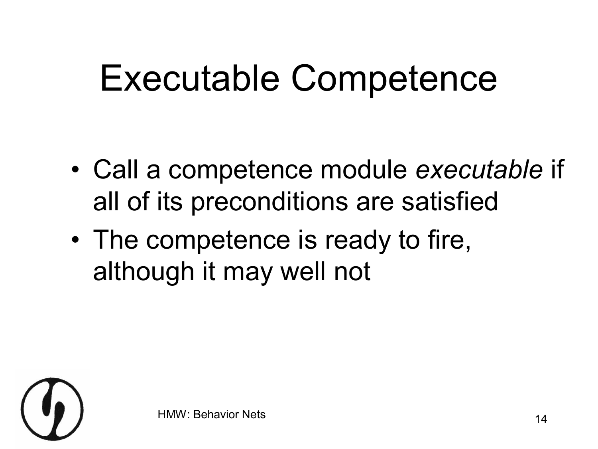#### Executable Competence

- Call a competence module *executable* if all of its preconditions are satisfied
- The competence is ready to fire, although it may well not

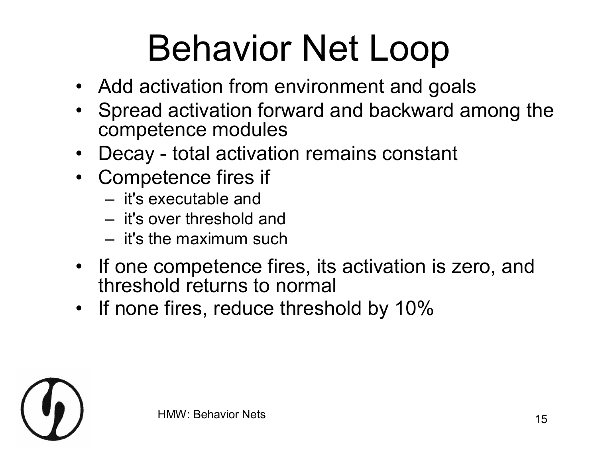# Behavior Net Loop

- Add activation from environment and goals
- Spread activation forward and backward among the competence modules
- Decay total activation remains constant
- Competence fires if
	- it's executable and
	- it's over threshold and
	- it's the maximum such
- If one competence fires, its activation is zero, and threshold returns to normal
- If none fires, reduce threshold by 10%

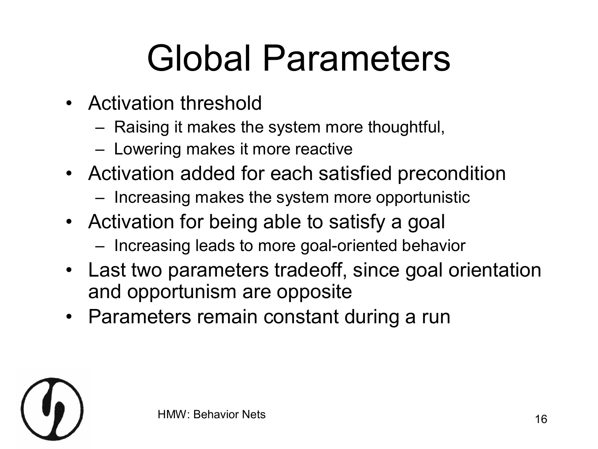# Global Parameters

- Activation threshold
	- Raising it makes the system more thoughtful,
	- Lowering makes it more reactive
- Activation added for each satisfied precondition
	- Increasing makes the system more opportunistic
- Activation for being able to satisfy a goal
	- Increasing leads to more goal-oriented behavior
- Last two parameters tradeoff, since goal orientation and opportunism are opposite
- Parameters remain constant during a run

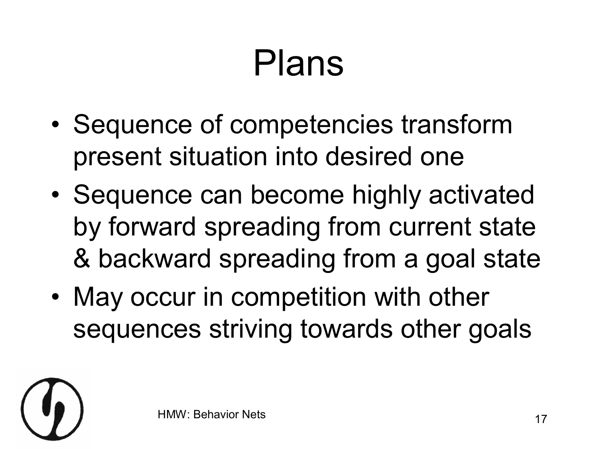# Plans

- Sequence of competencies transform present situation into desired one
- Sequence can become highly activated by forward spreading from current state & backward spreading from a goal state
- May occur in competition with other sequences striving towards other goals

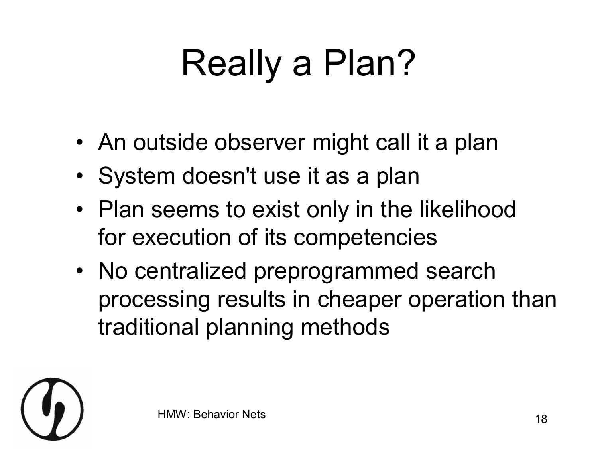# Really a Plan?

- An outside observer might call it a plan
- System doesn't use it as a plan
- Plan seems to exist only in the likelihood for execution of its competencies
- No centralized preprogrammed search processing results in cheaper operation than traditional planning methods

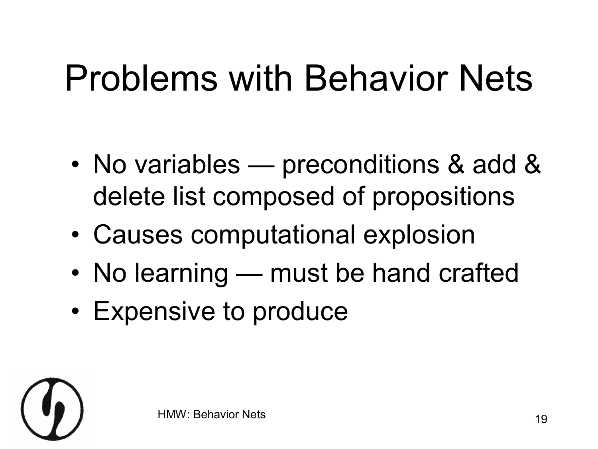## Problems with Behavior Nets

- No variables preconditions & add & delete list composed of propositions
- Causes computational explosion
- No learning must be hand crafted
- Expensive to produce

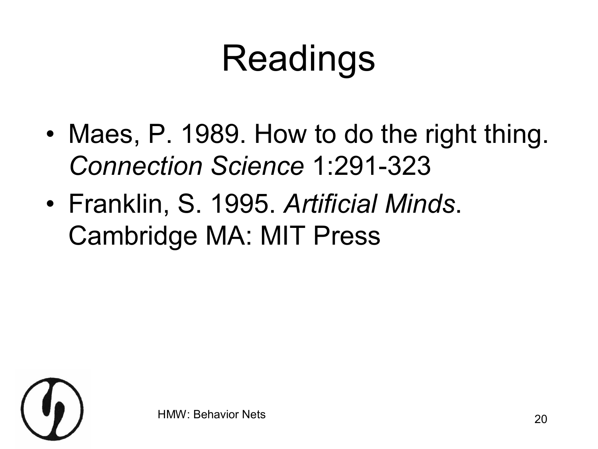# Readings

- Maes, P. 1989. How to do the right thing. **Connection Science 1:291-323**
- Franklin, S. 1995. *Artificial Minds*. Cambridge MA: MIT Press